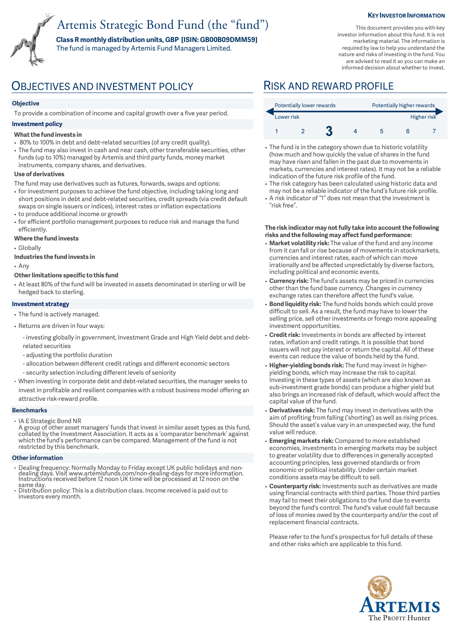# Artemis Strategic Bond Fund (the "fund")

**Class R monthly distribution units, GBP [ISIN: GB00B09DMM59]**  The fund is managed by Artemis Fund Managers Limited.

#### **KEY INVESTOR INFORMATION**

This document provides you with key investor information about this fund. It is not marketing material. The information is required by law to help you understand the nature and risks of investing in the fund. You are advised to read it so you can make an informed decision about whether to invest.

### **Objective**

To provide a combination of income and capital growth over a five year period.

#### **Investment policy**

#### **What the fund invests in**

- 80% to 100% in debt and debt-related securities (of any credit quality).
- The fund may also invest in cash and near cash, other transferable securities, other funds (up to 10%) managed by Artemis and third party funds, money market instruments, company shares, and derivatives.

#### **Use of derivatives**

- The fund may use derivatives such as futures, forwards, swaps and options:
- for investment purposes to achieve the fund objective, including taking long and short positions in debt and debt-related securities, credit spreads (via credit default swaps on single issuers or indices), interest rates or inflation expectations
- to produce additional income or growth • for efficient portfolio management purposes to reduce risk and manage the fund efficiently.

### **Where the fund invests**

• Globally

#### **Industries the fund invests in**

• Any

#### **Other limitations specific to this fund**

• At least 80% of the fund will be invested in assets denominated in sterling or will be hedged back to sterling.

#### **Investment strategy**

- The fund is actively managed.
- Returns are driven in four ways:
	- investing globally in government, Investment Grade and High Yield debt and debtrelated securities
	- adjusting the portfolio duration
	- allocation between different credit ratings and different economic sectors
	- security selection including different levels of seniority
- When investing in corporate debt and debt-related securities, the manager seeks to invest in profitable and resilient companies with a robust business model offering an attractive risk-reward profile.

#### **Benchmarks**

• IA £ Strategic Bond NR

A group of other asset managers' funds that invest in similar asset types as this fund, collated by the Investment Association. It acts as a 'comparator benchmark' against which the fund's performance can be compared. Management of the fund is not restricted by this benchmark.

#### **Other information**

- Dealing frequency: Normally Monday to Friday except UK public holidays and non-dealing days. Visit www.artemisfunds.com/non-dealing-days for more information. Instructions received before 12 noon UK time will be processed at 12 noon on the same day.
- Distribution policy: This is a distribution class. Income received is paid out to investors every month.

# OBJECTIVES AND INVESTMENT POLICY RISK AND REWARD PROFILE

| Potentially lower rewards |  |  |  | Potentially higher rewards |  |  |
|---------------------------|--|--|--|----------------------------|--|--|
| Lower risk                |  |  |  | Higher risk                |  |  |
|                           |  |  |  |                            |  |  |

- The fund is in the category shown due to historic volatility (how much and how quickly the value of shares in the fund may have risen and fallen in the past due to movements in markets, currencies and interest rates). It may not be a reliable indication of the future risk profile of the fund.
- The risk category has been calculated using historic data and may not be a reliable indicator of the fund's future risk profile. • A risk indicator of "1" does not mean that the investment is
- "risk free".

#### **The risk indicator may not fully take into account the following risks and the following may affect fund performance:**

- **Market volatility risk:** The value of the fund and any income from it can fall or rise because of movements in stockmarkets, currencies and interest rates, each of which can move irrationally and be affected unpredictably by diverse factors, including political and economic events.
- **Currency risk:** The fund's assets may be priced in currencies other than the fund base currency. Changes in currency exchange rates can therefore affect the fund's value.
- **Bond liquidity risk:** The fund holds bonds which could prove difficult to sell. As a result, the fund may have to lower the selling price, sell other investments or forego more appealing investment opportunities.
- **Credit risk:** Investments in bonds are affected by interest rates, inflation and credit ratings. It is possible that bond issuers will not pay interest or return the capital. All of these events can reduce the value of bonds held by the fund.
- **Higher-yielding bonds risk:** The fund may invest in higheryielding bonds, which may increase the risk to capital. Investing in these types of assets (which are also known as sub-investment grade bonds) can produce a higher yield but also brings an increased risk of default, which would affect the capital value of the fund.
- **Derivatives risk:** The fund may invest in derivatives with the aim of profiting from falling ('shorting') as well as rising prices. Should the asset's value vary in an unexpected way, the fund value will reduce.
- **Emerging markets risk:** Compared to more established economies, investments in emerging markets may be subject to greater volatility due to differences in generally accepted accounting principles, less governed standards or from economic or political instability. Under certain market conditions assets may be difficult to sell.
- **Counterparty risk:** Investments such as derivatives are made using financial contracts with third parties. Those third parties may fail to meet their obligations to the fund due to events beyond the fund's control. The fund's value could fall because of loss of monies owed by the counterparty and/or the cost of replacement financial contracts.

Please refer to the fund's prospectus for full details of these and other risks which are applicable to this fund.